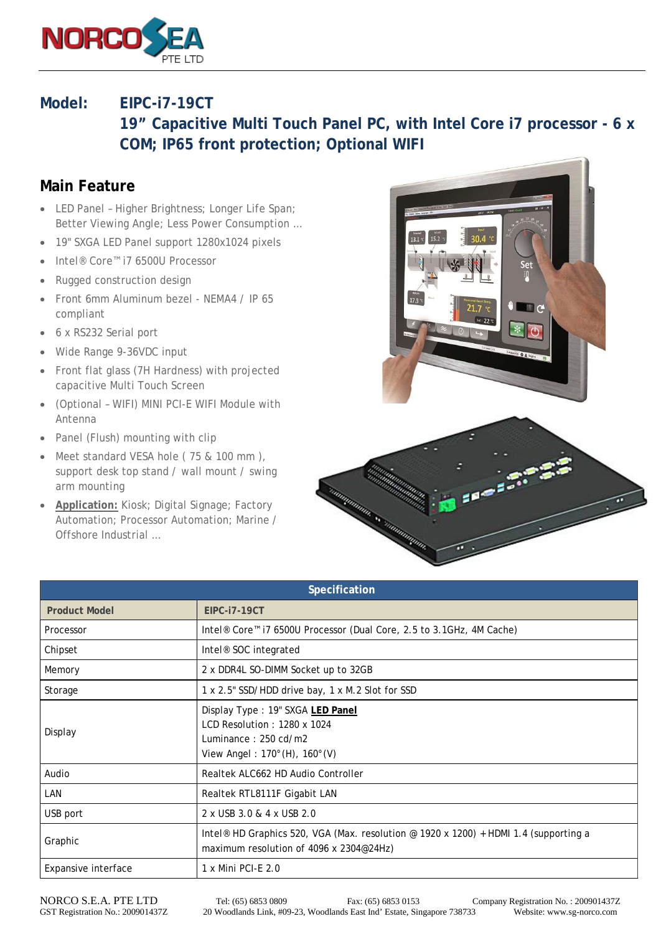

## **Model: EIPC-i7-19CT**

**19" Capacitive Multi Touch Panel PC, with Intel Core i7 processor - 6 x COM; IP65 front protection; Optional WIFI**

## **Main Feature**

- LED Panel Higher Brightness; Longer Life Span; Better Viewing Angle; Less Power Consumption …
- 19" SXGA LED Panel support 1280x1024 pixels
- Intel® Core™ i7 6500U Processor
- Rugged construction design
- Front 6mm Aluminum bezel NEMA4 / IP 65 compliant
- 6 x RS232 Serial port
- Wide Range 9-36VDC input
- Front flat glass (7H Hardness) with projected capacitive Multi Touch Screen
- (Optional WIFI) MINI PCI-E WIFI Module with Antenna
- Panel (Flush) mounting with clip
- Meet standard VESA hole (75 & 100 mm), support desk top stand / wall mount / swing arm mounting
- **Application:** Kiosk; Digital Signage; Factory Automation; Processor Automation; Marine / Offshore Industrial …





| Specification        |                                                                                                                                             |
|----------------------|---------------------------------------------------------------------------------------------------------------------------------------------|
| <b>Product Model</b> | <b>EIPC-i7-19CT</b>                                                                                                                         |
| Processor            | Intel <sup>®</sup> Core <sup>™</sup> i7 6500U Processor (Dual Core, 2.5 to 3.1GHz, 4M Cache)                                                |
| Chipset              | Intel <sup>®</sup> SOC integrated                                                                                                           |
| Memory               | 2 x DDR4L SO-DIMM Socket up to 32GB                                                                                                         |
| Storage              | 1 x 2.5" SSD/HDD drive bay, 1 x M.2 Slot for SSD                                                                                            |
| Display              | Display Type: 19" SXGA LED Panel<br>LCD Resolution: 1280 x 1024<br>Luminance: 250 cd/m2<br>View Angel: $170^{\circ}$ (H), $160^{\circ}$ (V) |
| Audio                | Realtek ALC662 HD Audio Controller                                                                                                          |
| LAN                  | Realtek RTL8111F Gigabit LAN                                                                                                                |
| USB port             | 2 x USB 3.0 & 4 x USB 2.0                                                                                                                   |
| Graphic              | Intel <sup>®</sup> HD Graphics 520, VGA (Max. resolution @ 1920 x 1200) + HDMI 1.4 (supporting a<br>maximum resolution of 4096 x 2304@24Hz) |
| Expansive interface  | 1 x Mini PCI-E 2.0                                                                                                                          |